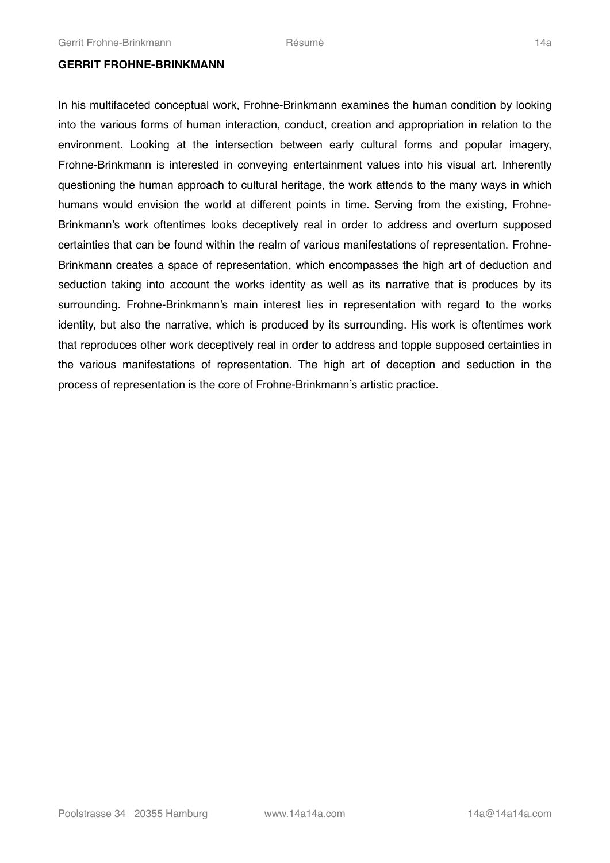#### **GERRIT FROHNE-BRINKMANN**

In his multifaceted conceptual work, Frohne-Brinkmann examines the human condition by looking into the various forms of human interaction, conduct, creation and appropriation in relation to the environment. Looking at the intersection between early cultural forms and popular imagery, Frohne-Brinkmann is interested in conveying entertainment values into his visual art. Inherently questioning the human approach to cultural heritage, the work attends to the many ways in which humans would envision the world at different points in time. Serving from the existing, Frohne-Brinkmann's work oftentimes looks deceptively real in order to address and overturn supposed certainties that can be found within the realm of various manifestations of representation. Frohne-Brinkmann creates a space of representation, which encompasses the high art of deduction and seduction taking into account the works identity as well as its narrative that is produces by its surrounding. Frohne-Brinkmann's main interest lies in representation with regard to the works identity, but also the narrative, which is produced by its surrounding. His work is oftentimes work that reproduces other work deceptively real in order to address and topple supposed certainties in the various manifestations of representation. The high art of deception and seduction in the process of representation is the core of Frohne-Brinkmann's artistic practice.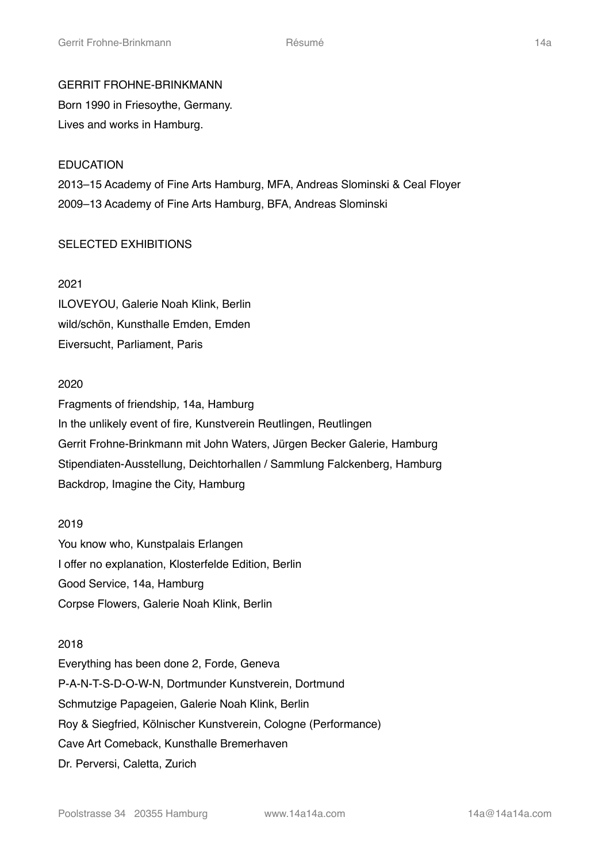# GERRIT FROHNE-BRINKMANN

Born 1990 in Friesoythe, Germany. Lives and works in Hamburg.

# EDUCATION 2013–15 Academy of Fine Arts Hamburg, MFA, Andreas Slominski & Ceal Floyer 2009–13 Academy of Fine Arts Hamburg, BFA, Andreas Slominski

# SELECTED EXHIBITIONS

# 2021

ILOVEYOU, Galerie Noah Klink, Berlin wild/schön, Kunsthalle Emden, Emden Eiversucht, Parliament, Paris

## 2020

Fragments of friendship*,* 14a, Hamburg In the unlikely event of fire*,* Kunstverein Reutlingen, Reutlingen Gerrit Frohne-Brinkmann mit John Waters, Jürgen Becker Galerie, Hamburg Stipendiaten-Ausstellung, Deichtorhallen / Sammlung Falckenberg, Hamburg Backdrop*,* Imagine the City, Hamburg

## 2019

You know who, Kunstpalais Erlangen I offer no explanation, Klosterfelde Edition, Berlin Good Service, 14a, Hamburg Corpse Flowers, Galerie Noah Klink, Berlin

#### 2018

Everything has been done 2, Forde, Geneva P-A-N-T-S-D-O-W-N, Dortmunder Kunstverein, Dortmund Schmutzige Papageien, Galerie Noah Klink, Berlin Roy & Siegfried, Kölnischer Kunstverein, Cologne (Performance) Cave Art Comeback, Kunsthalle Bremerhaven Dr. Perversi, Caletta, Zurich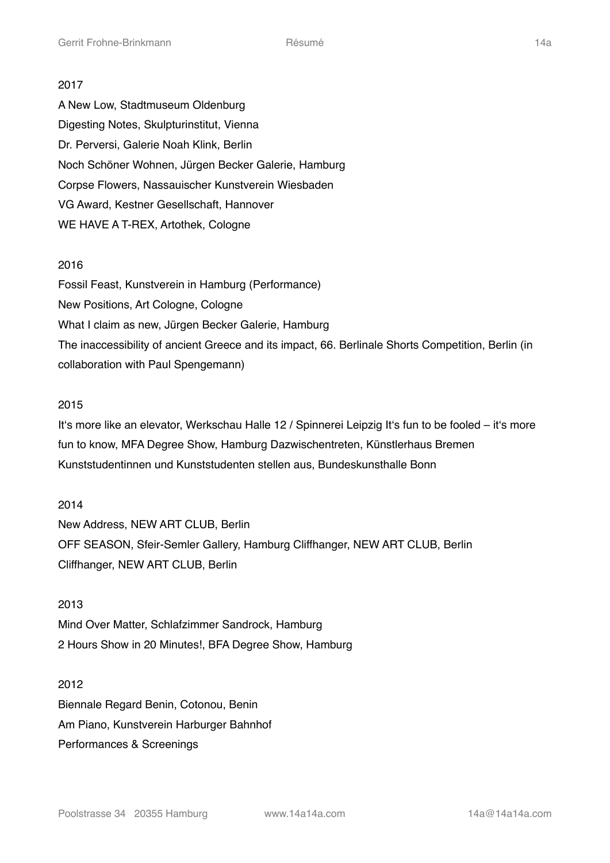#### 2017

A New Low, Stadtmuseum Oldenburg Digesting Notes, Skulpturinstitut, Vienna Dr. Perversi, Galerie Noah Klink, Berlin Noch Schöner Wohnen, Jürgen Becker Galerie, Hamburg Corpse Flowers, Nassauischer Kunstverein Wiesbaden VG Award, Kestner Gesellschaft, Hannover WE HAVE A T-REX, Artothek, Cologne

#### 2016

Fossil Feast, Kunstverein in Hamburg (Performance) New Positions, Art Cologne, Cologne What I claim as new, Jürgen Becker Galerie, Hamburg The inaccessibility of ancient Greece and its impact, 66. Berlinale Shorts Competition, Berlin (in collaboration with Paul Spengemann)

#### 2015

It's more like an elevator, Werkschau Halle 12 / Spinnerei Leipzig It's fun to be fooled – it's more fun to know, MFA Degree Show, Hamburg Dazwischentreten, Künstlerhaus Bremen Kunststudentinnen und Kunststudenten stellen aus, Bundeskunsthalle Bonn

2014 New Address, NEW ART CLUB, Berlin OFF SEASON, Sfeir-Semler Gallery, Hamburg Cliffhanger, NEW ART CLUB, Berlin Cliffhanger, NEW ART CLUB, Berlin

2013 Mind Over Matter, Schlafzimmer Sandrock, Hamburg 2 Hours Show in 20 Minutes!, BFA Degree Show, Hamburg

2012

Biennale Regard Benin, Cotonou, Benin Am Piano, Kunstverein Harburger Bahnhof Performances & Screenings